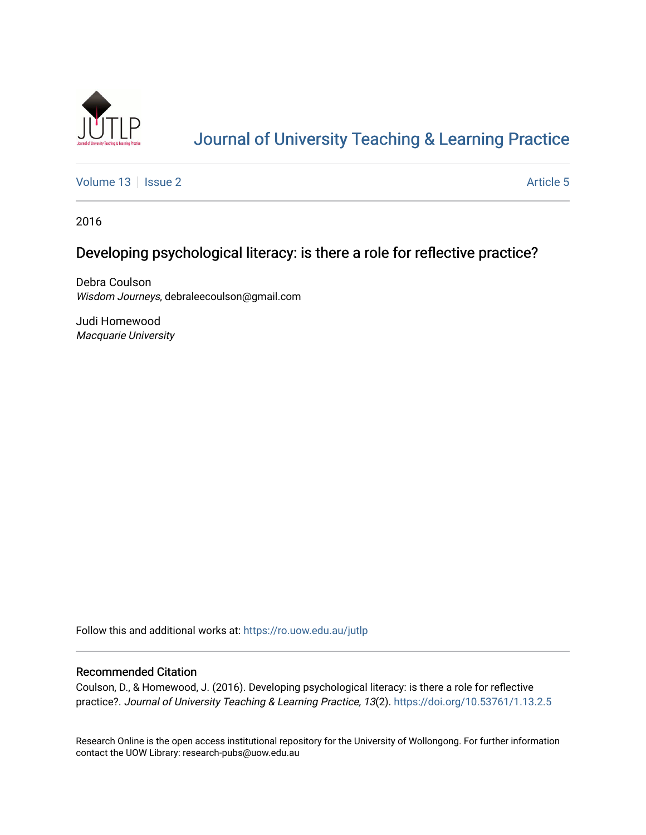

# [Journal of University Teaching & Learning Practice](https://ro.uow.edu.au/jutlp)

[Volume 13](https://ro.uow.edu.au/jutlp/vol13) | [Issue 2](https://ro.uow.edu.au/jutlp/vol13/iss2) Article 5

2016

## Developing psychological literacy: is there a role for reflective practice?

Debra Coulson Wisdom Journeys, debraleecoulson@gmail.com

Judi Homewood Macquarie University

Follow this and additional works at: [https://ro.uow.edu.au/jutlp](https://ro.uow.edu.au/jutlp?utm_source=ro.uow.edu.au%2Fjutlp%2Fvol13%2Fiss2%2F5&utm_medium=PDF&utm_campaign=PDFCoverPages) 

#### Recommended Citation

Coulson, D., & Homewood, J. (2016). Developing psychological literacy: is there a role for reflective practice?. Journal of University Teaching & Learning Practice, 13(2). <https://doi.org/10.53761/1.13.2.5>

Research Online is the open access institutional repository for the University of Wollongong. For further information contact the UOW Library: research-pubs@uow.edu.au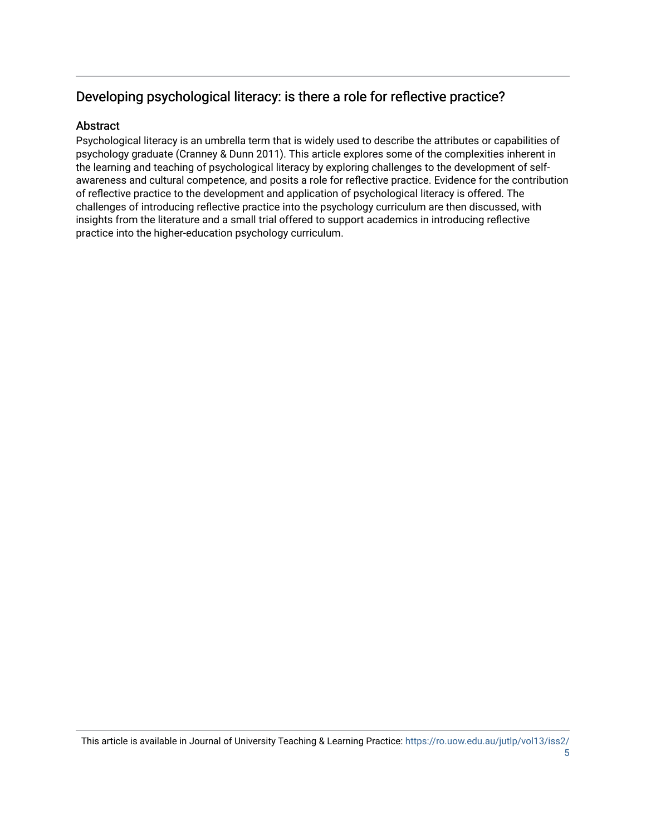# Developing psychological literacy: is there a role for reflective practice?

## Abstract

Psychological literacy is an umbrella term that is widely used to describe the attributes or capabilities of psychology graduate (Cranney & Dunn 2011). This article explores some of the complexities inherent in the learning and teaching of psychological literacy by exploring challenges to the development of selfawareness and cultural competence, and posits a role for reflective practice. Evidence for the contribution of reflective practice to the development and application of psychological literacy is offered. The challenges of introducing reflective practice into the psychology curriculum are then discussed, with insights from the literature and a small trial offered to support academics in introducing reflective practice into the higher-education psychology curriculum.

This article is available in Journal of University Teaching & Learning Practice: [https://ro.uow.edu.au/jutlp/vol13/iss2/](https://ro.uow.edu.au/jutlp/vol13/iss2/5) [5](https://ro.uow.edu.au/jutlp/vol13/iss2/5)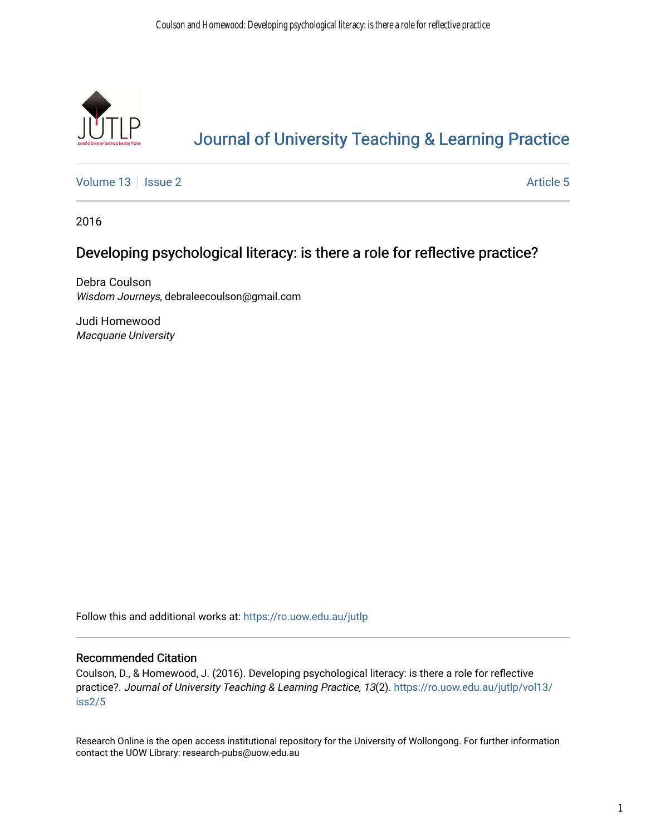

# [Journal of University Teaching & Learning Practice](https://ro.uow.edu.au/jutlp)

[Volume 13](https://ro.uow.edu.au/jutlp/vol13) | [Issue 2](https://ro.uow.edu.au/jutlp/vol13/iss2) Article 5

2016

## Developing psychological literacy: is there a role for reflective practice?

Debra Coulson Wisdom Journeys, debraleecoulson@gmail.com

Judi Homewood Macquarie University

Follow this and additional works at: [https://ro.uow.edu.au/jutlp](https://ro.uow.edu.au/jutlp?utm_source=ro.uow.edu.au%2Fjutlp%2Fvol13%2Fiss2%2F5&utm_medium=PDF&utm_campaign=PDFCoverPages) 

#### Recommended Citation

Coulson, D., & Homewood, J. (2016). Developing psychological literacy: is there a role for reflective practice?. Journal of University Teaching & Learning Practice, 13(2). [https://ro.uow.edu.au/jutlp/vol13/](https://ro.uow.edu.au/jutlp/vol13/iss2/5?utm_source=ro.uow.edu.au%2Fjutlp%2Fvol13%2Fiss2%2F5&utm_medium=PDF&utm_campaign=PDFCoverPages) [iss2/5](https://ro.uow.edu.au/jutlp/vol13/iss2/5?utm_source=ro.uow.edu.au%2Fjutlp%2Fvol13%2Fiss2%2F5&utm_medium=PDF&utm_campaign=PDFCoverPages)

Research Online is the open access institutional repository for the University of Wollongong. For further information contact the UOW Library: research-pubs@uow.edu.au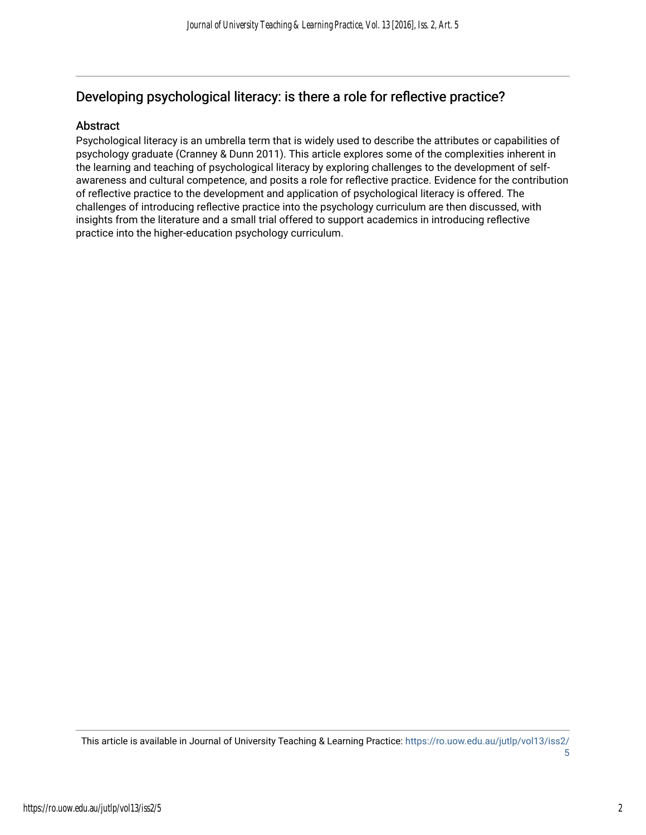# Developing psychological literacy: is there a role for reflective practice?

#### Abstract

Psychological literacy is an umbrella term that is widely used to describe the attributes or capabilities of psychology graduate (Cranney & Dunn 2011). This article explores some of the complexities inherent in the learning and teaching of psychological literacy by exploring challenges to the development of selfawareness and cultural competence, and posits a role for reflective practice. Evidence for the contribution of reflective practice to the development and application of psychological literacy is offered. The challenges of introducing reflective practice into the psychology curriculum are then discussed, with insights from the literature and a small trial offered to support academics in introducing reflective practice into the higher-education psychology curriculum.

This article is available in Journal of University Teaching & Learning Practice: [https://ro.uow.edu.au/jutlp/vol13/iss2/](https://ro.uow.edu.au/jutlp/vol13/iss2/5) [5](https://ro.uow.edu.au/jutlp/vol13/iss2/5)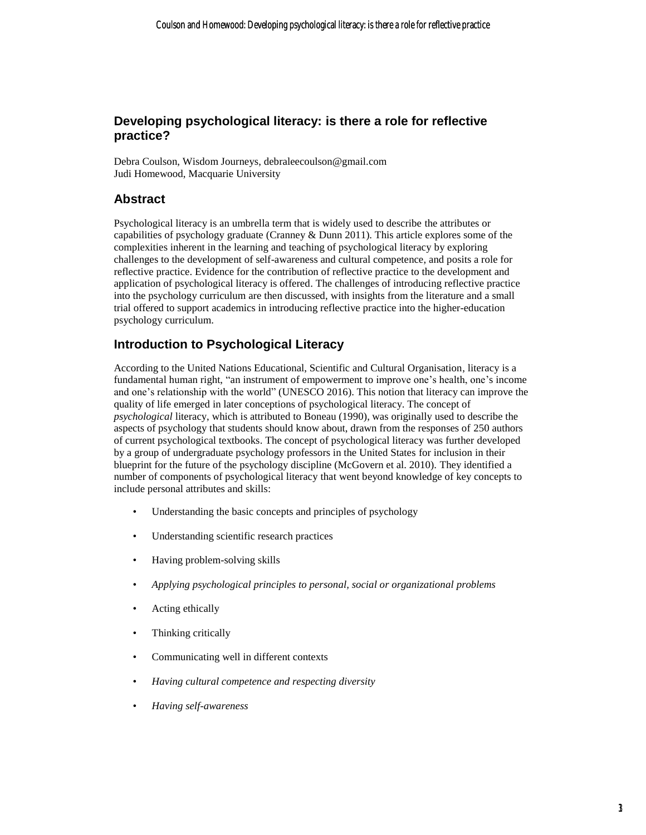## **Developing psychological literacy: is there a role for reflective practice?**

Debra Coulson, Wisdom Journeys, debraleecoulson@gmail.com Judi Homewood, Macquarie University

## **Abstract**

Psychological literacy is an umbrella term that is widely used to describe the attributes or capabilities of psychology graduate (Cranney & Dunn 2011). This article explores some of the complexities inherent in the learning and teaching of psychological literacy by exploring challenges to the development of self-awareness and cultural competence, and posits a role for reflective practice. Evidence for the contribution of reflective practice to the development and application of psychological literacy is offered. The challenges of introducing reflective practice into the psychology curriculum are then discussed, with insights from the literature and a small trial offered to support academics in introducing reflective practice into the higher-education psychology curriculum.

## **Introduction to Psychological Literacy**

According to the United Nations Educational, Scientific and Cultural Organisation, literacy is a fundamental human right, "an instrument of empowerment to improve one's health, one's income and one's relationship with the world" (UNESCO 2016). This notion that literacy can improve the quality of life emerged in later conceptions of psychological literacy. The concept of *psychological* literacy, which is attributed to Boneau (1990), was originally used to describe the aspects of psychology that students should know about, drawn from the responses of 250 authors of current psychological textbooks. The concept of psychological literacy was further developed by a group of undergraduate psychology professors in the United States for inclusion in their blueprint for the future of the psychology discipline (McGovern et al. 2010). They identified a number of components of psychological literacy that went beyond knowledge of key concepts to include personal attributes and skills:

- Understanding the basic concepts and principles of psychology
- Understanding scientific research practices
- Having problem-solving skills
- *Applying psychological principles to personal, social or organizational problems*
- Acting ethically
- Thinking critically
- Communicating well in different contexts
- *Having cultural competence and respecting diversity*
- *Having self-awareness*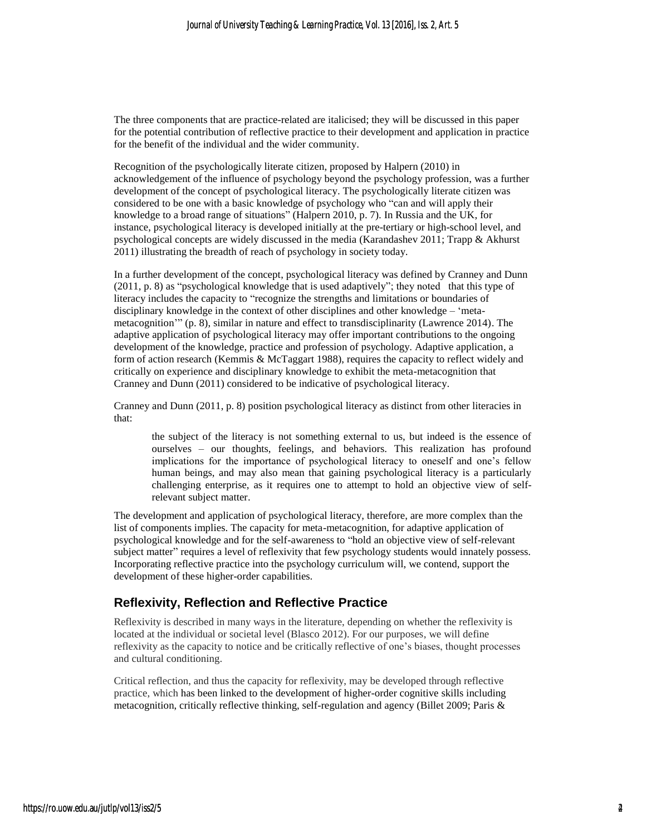The three components that are practice-related are italicised; they will be discussed in this paper for the potential contribution of reflective practice to their development and application in practice for the benefit of the individual and the wider community.

Recognition of the psychologically literate citizen, proposed by Halpern (2010) in acknowledgement of the influence of psychology beyond the psychology profession, was a further development of the concept of psychological literacy. The psychologically literate citizen was considered to be one with a basic knowledge of psychology who "can and will apply their knowledge to a broad range of situations" (Halpern 2010, p. 7). In Russia and the UK, for instance, psychological literacy is developed initially at the pre-tertiary or high-school level, and psychological concepts are widely discussed in the media (Karandashev 2011; Trapp & Akhurst 2011) illustrating the breadth of reach of psychology in society today.

In a further development of the concept, psychological literacy was defined by Cranney and Dunn (2011, p. 8) as "psychological knowledge that is used adaptively"; they noted that this type of literacy includes the capacity to "recognize the strengths and limitations or boundaries of disciplinary knowledge in the context of other disciplines and other knowledge – 'metametacognition'" (p. 8), similar in nature and effect to transdisciplinarity (Lawrence 2014). The adaptive application of psychological literacy may offer important contributions to the ongoing development of the knowledge, practice and profession of psychology. Adaptive application, a form of action research (Kemmis & McTaggart 1988), requires the capacity to reflect widely and critically on experience and disciplinary knowledge to exhibit the meta-metacognition that Cranney and Dunn (2011) considered to be indicative of psychological literacy.

Cranney and Dunn (2011, p. 8) position psychological literacy as distinct from other literacies in that:

the subject of the literacy is not something external to us, but indeed is the essence of ourselves – our thoughts, feelings, and behaviors. This realization has profound implications for the importance of psychological literacy to oneself and one's fellow human beings, and may also mean that gaining psychological literacy is a particularly challenging enterprise, as it requires one to attempt to hold an objective view of selfrelevant subject matter.

The development and application of psychological literacy, therefore, are more complex than the list of components implies. The capacity for meta-metacognition, for adaptive application of psychological knowledge and for the self-awareness to "hold an objective view of self-relevant subject matter" requires a level of reflexivity that few psychology students would innately possess. Incorporating reflective practice into the psychology curriculum will, we contend, support the development of these higher-order capabilities.

#### **Reflexivity, Reflection and Reflective Practice**

Reflexivity is described in many ways in the literature, depending on whether the reflexivity is located at the individual or societal level (Blasco 2012). For our purposes, we will define reflexivity as the capacity to notice and be critically reflective of one's biases, thought processes and cultural conditioning.

Critical reflection, and thus the capacity for reflexivity, may be developed through reflective practice, which has been linked to the development of higher-order cognitive skills including metacognition, critically reflective thinking, self-regulation and agency (Billet 2009; Paris &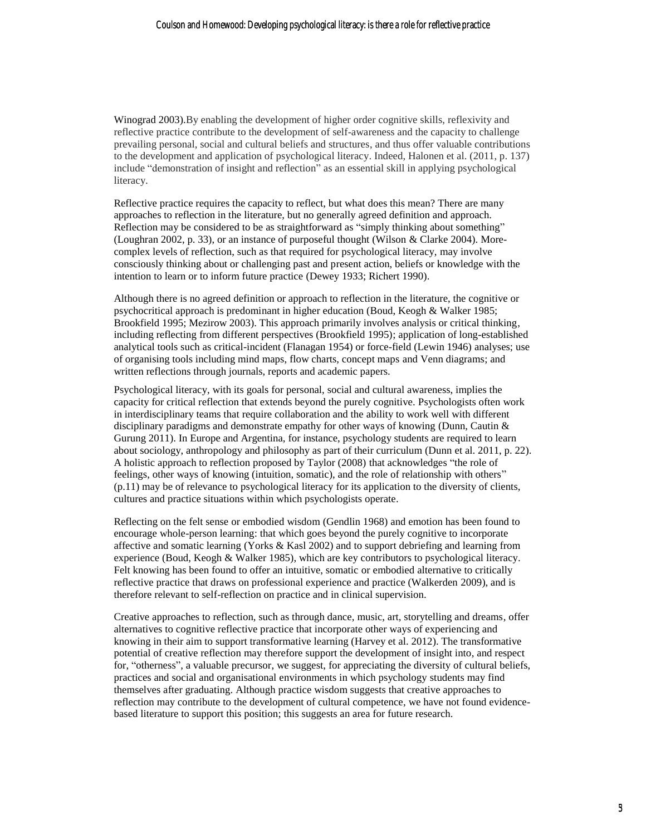Winograd 2003).By enabling the development of higher order cognitive skills, reflexivity and reflective practice contribute to the development of self-awareness and the capacity to challenge prevailing personal, social and cultural beliefs and structures, and thus offer valuable contributions to the development and application of psychological literacy. Indeed, Halonen et al. (2011, p. 137) include "demonstration of insight and reflection" as an essential skill in applying psychological literacy.

Reflective practice requires the capacity to reflect, but what does this mean? There are many approaches to reflection in the literature, but no generally agreed definition and approach. Reflection may be considered to be as straightforward as "simply thinking about something" (Loughran 2002, p. 33), or an instance of purposeful thought (Wilson & Clarke 2004). Morecomplex levels of reflection, such as that required for psychological literacy, may involve consciously thinking about or challenging past and present action, beliefs or knowledge with the intention to learn or to inform future practice (Dewey 1933; Richert 1990).

Although there is no agreed definition or approach to reflection in the literature, the cognitive or psychocritical approach is predominant in higher education (Boud, Keogh & Walker 1985; Brookfield 1995; Mezirow 2003). This approach primarily involves analysis or critical thinking, including reflecting from different perspectives (Brookfield 1995); application of long-established analytical tools such as critical-incident (Flanagan 1954) or force-field (Lewin 1946) analyses; use of organising tools including mind maps, flow charts, concept maps and Venn diagrams; and written reflections through journals, reports and academic papers.

Psychological literacy, with its goals for personal, social and cultural awareness, implies the capacity for critical reflection that extends beyond the purely cognitive. Psychologists often work in interdisciplinary teams that require collaboration and the ability to work well with different disciplinary paradigms and demonstrate empathy for other ways of knowing (Dunn, Cautin & Gurung 2011). In Europe and Argentina, for instance, psychology students are required to learn about sociology, anthropology and philosophy as part of their curriculum (Dunn et al. 2011, p. 22). A holistic approach to reflection proposed by Taylor (2008) that acknowledges "the role of feelings, other ways of knowing (intuition, somatic), and the role of relationship with others" (p.11) may be of relevance to psychological literacy for its application to the diversity of clients, cultures and practice situations within which psychologists operate.

Reflecting on the felt sense or embodied wisdom (Gendlin 1968) and emotion has been found to encourage whole-person learning: that which goes beyond the purely cognitive to incorporate affective and somatic learning (Yorks & Kasl 2002) and to support debriefing and learning from experience (Boud, Keogh & Walker 1985), which are key contributors to psychological literacy. Felt knowing has been found to offer an intuitive, somatic or embodied alternative to critically reflective practice that draws on professional experience and practice (Walkerden 2009), and is therefore relevant to self-reflection on practice and in clinical supervision.

Creative approaches to reflection, such as through dance, music, art, storytelling and dreams, offer alternatives to cognitive reflective practice that incorporate other ways of experiencing and knowing in their aim to support transformative learning (Harvey et al. 2012). The transformative potential of creative reflection may therefore support the development of insight into, and respect for, "otherness", a valuable precursor, we suggest, for appreciating the diversity of cultural beliefs, practices and social and organisational environments in which psychology students may find themselves after graduating. Although practice wisdom suggests that creative approaches to reflection may contribute to the development of cultural competence, we have not found evidencebased literature to support this position; this suggests an area for future research.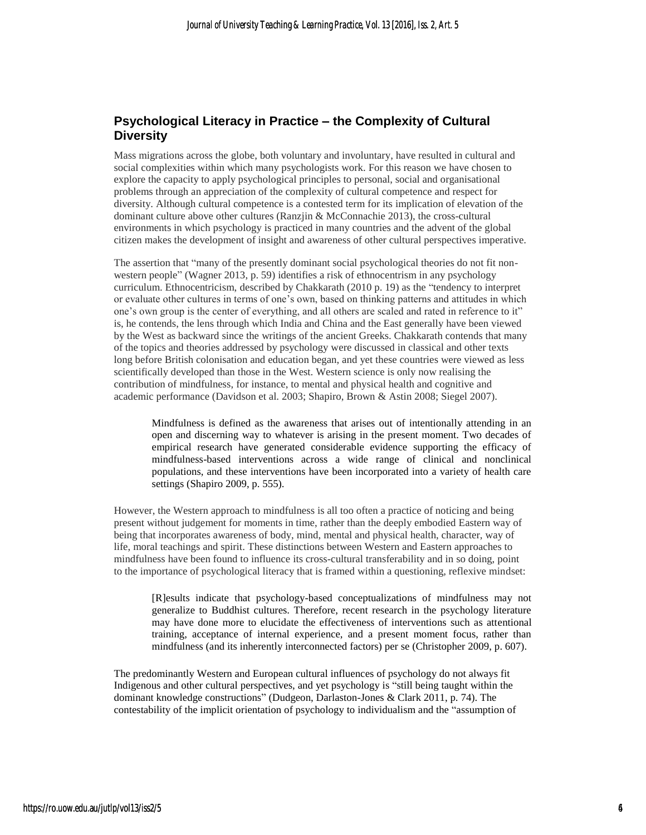## **Psychological Literacy in Practice – the Complexity of Cultural Diversity**

Mass migrations across the globe, both voluntary and involuntary, have resulted in cultural and social complexities within which many psychologists work. For this reason we have chosen to explore the capacity to apply psychological principles to personal, social and organisational problems through an appreciation of the complexity of cultural competence and respect for diversity. Although cultural competence is a contested term for its implication of elevation of the dominant culture above other cultures (Ranzjin & McConnachie 2013), the cross-cultural environments in which psychology is practiced in many countries and the advent of the global citizen makes the development of insight and awareness of other cultural perspectives imperative.

The assertion that "many of the presently dominant social psychological theories do not fit nonwestern people" (Wagner 2013, p. 59) identifies a risk of ethnocentrism in any psychology curriculum. Ethnocentricism, described by Chakkarath (2010 p. 19) as the "tendency to interpret or evaluate other cultures in terms of one's own, based on thinking patterns and attitudes in which one's own group is the center of everything, and all others are scaled and rated in reference to it" is, he contends, the lens through which India and China and the East generally have been viewed by the West as backward since the writings of the ancient Greeks. Chakkarath contends that many of the topics and theories addressed by psychology were discussed in classical and other texts long before British colonisation and education began, and yet these countries were viewed as less scientifically developed than those in the West. Western science is only now realising the contribution of mindfulness, for instance, to mental and physical health and cognitive and academic performance (Davidson et al. 2003; Shapiro, Brown & Astin 2008; Siegel 2007).

Mindfulness is defined as the awareness that arises out of intentionally attending in an open and discerning way to whatever is arising in the present moment. Two decades of empirical research have generated considerable evidence supporting the efficacy of mindfulness-based interventions across a wide range of clinical and nonclinical populations, and these interventions have been incorporated into a variety of health care settings (Shapiro 2009, p. 555).

However, the Western approach to mindfulness is all too often a practice of noticing and being present without judgement for moments in time, rather than the deeply embodied Eastern way of being that incorporates awareness of body, mind, mental and physical health, character, way of life, moral teachings and spirit. These distinctions between Western and Eastern approaches to mindfulness have been found to influence its cross-cultural transferability and in so doing, point to the importance of psychological literacy that is framed within a questioning, reflexive mindset:

[R]esults indicate that psychology-based conceptualizations of mindfulness may not generalize to Buddhist cultures. Therefore, recent research in the psychology literature may have done more to elucidate the effectiveness of interventions such as attentional training, acceptance of internal experience, and a present moment focus, rather than mindfulness (and its inherently interconnected factors) per se (Christopher 2009, p. 607).

The predominantly Western and European cultural influences of psychology do not always fit Indigenous and other cultural perspectives, and yet psychology is "still being taught within the dominant knowledge constructions" (Dudgeon, Darlaston-Jones & Clark 2011, p. 74). The contestability of the implicit orientation of psychology to individualism and the "assumption of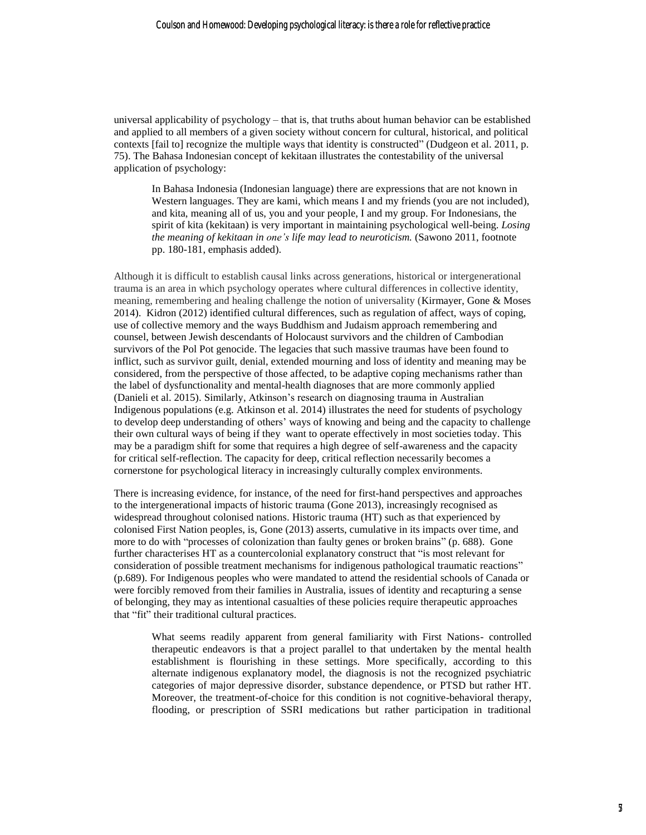universal applicability of psychology – that is, that truths about human behavior can be established and applied to all members of a given society without concern for cultural, historical, and political contexts [fail to] recognize the multiple ways that identity is constructed" (Dudgeon et al. 2011, p. 75). The Bahasa Indonesian concept of kekitaan illustrates the contestability of the universal application of psychology:

In Bahasa Indonesia (Indonesian language) there are expressions that are not known in Western languages. They are kami, which means I and my friends (you are not included), and kita, meaning all of us, you and your people, I and my group. For Indonesians, the spirit of kita (kekitaan) is very important in maintaining psychological well-being. *Losing the meaning of kekitaan in one's life may lead to neuroticism.* (Sawono 2011, footnote pp. 180-181, emphasis added).

Although it is difficult to establish causal links across generations, historical or intergenerational trauma is an area in which psychology operates where cultural differences in collective identity, meaning, remembering and healing challenge the notion of universality (Kirmayer, Gone & Moses 2014). Kidron (2012) identified cultural differences, such as regulation of affect, ways of coping, use of collective memory and the ways Buddhism and Judaism approach remembering and counsel, between Jewish descendants of Holocaust survivors and the children of Cambodian survivors of the Pol Pot genocide. The legacies that such massive traumas have been found to inflict, such as survivor guilt, denial, extended mourning and loss of identity and meaning may be considered, from the perspective of those affected, to be adaptive coping mechanisms rather than the label of dysfunctionality and mental-health diagnoses that are more commonly applied (Danieli et al. 2015). Similarly, Atkinson's research on diagnosing trauma in Australian Indigenous populations (e.g. Atkinson et al. 2014) illustrates the need for students of psychology to develop deep understanding of others' ways of knowing and being and the capacity to challenge their own cultural ways of being if they want to operate effectively in most societies today. This may be a paradigm shift for some that requires a high degree of self-awareness and the capacity for critical self-reflection. The capacity for deep, critical reflection necessarily becomes a cornerstone for psychological literacy in increasingly culturally complex environments.

There is increasing evidence, for instance, of the need for first-hand perspectives and approaches to the intergenerational impacts of historic trauma (Gone 2013), increasingly recognised as widespread throughout colonised nations. Historic trauma (HT) such as that experienced by colonised First Nation peoples, is, Gone (2013) asserts, cumulative in its impacts over time, and more to do with "processes of colonization than faulty genes or broken brains" (p. 688). Gone further characterises HT as a countercolonial explanatory construct that "is most relevant for consideration of possible treatment mechanisms for indigenous pathological traumatic reactions" (p.689). For Indigenous peoples who were mandated to attend the residential schools of Canada or were forcibly removed from their families in Australia, issues of identity and recapturing a sense of belonging, they may as intentional casualties of these policies require therapeutic approaches that "fit" their traditional cultural practices.

What seems readily apparent from general familiarity with First Nations- controlled therapeutic endeavors is that a project parallel to that undertaken by the mental health establishment is flourishing in these settings. More specifically, according to this alternate indigenous explanatory model, the diagnosis is not the recognized psychiatric categories of major depressive disorder, substance dependence, or PTSD but rather HT. Moreover, the treatment-of-choice for this condition is not cognitive-behavioral therapy, flooding, or prescription of SSRI medications but rather participation in traditional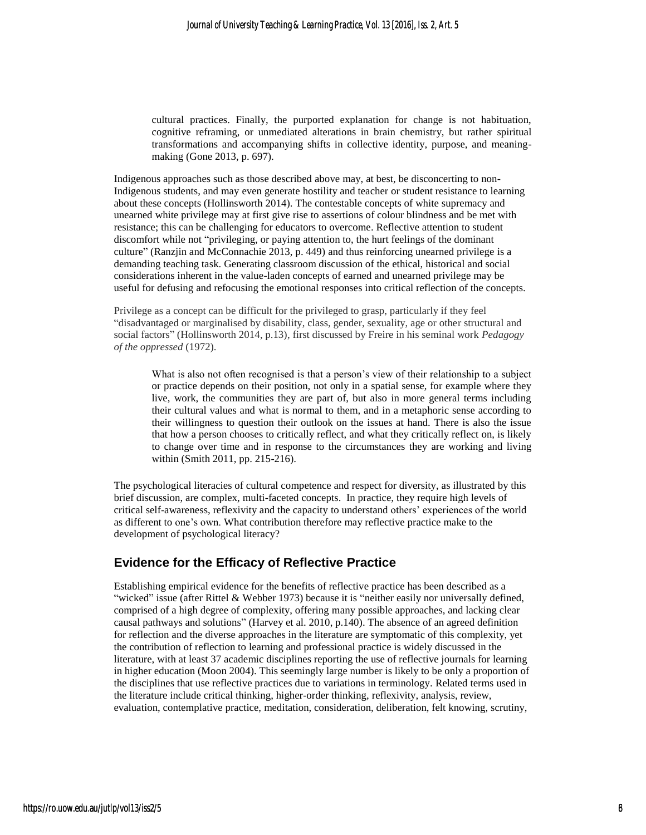cultural practices. Finally, the purported explanation for change is not habituation, cognitive reframing, or unmediated alterations in brain chemistry, but rather spiritual transformations and accompanying shifts in collective identity, purpose, and meaningmaking (Gone 2013, p. 697).

Indigenous approaches such as those described above may, at best, be disconcerting to non-Indigenous students, and may even generate hostility and teacher or student resistance to learning about these concepts (Hollinsworth 2014). The contestable concepts of white supremacy and unearned white privilege may at first give rise to assertions of colour blindness and be met with resistance; this can be challenging for educators to overcome. Reflective attention to student discomfort while not "privileging, or paying attention to, the hurt feelings of the dominant culture" (Ranzjin and McConnachie 2013, p. 449) and thus reinforcing unearned privilege is a demanding teaching task. Generating classroom discussion of the ethical, historical and social considerations inherent in the value-laden concepts of earned and unearned privilege may be useful for defusing and refocusing the emotional responses into critical reflection of the concepts.

Privilege as a concept can be difficult for the privileged to grasp, particularly if they feel "disadvantaged or marginalised by disability, class, gender, sexuality, age or other structural and social factors" (Hollinsworth 2014, p.13), first discussed by Freire in his seminal work *Pedagogy of the oppressed* (1972).

What is also not often recognised is that a person's view of their relationship to a subject or practice depends on their position, not only in a spatial sense, for example where they live, work, the communities they are part of, but also in more general terms including their cultural values and what is normal to them, and in a metaphoric sense according to their willingness to question their outlook on the issues at hand. There is also the issue that how a person chooses to critically reflect, and what they critically reflect on, is likely to change over time and in response to the circumstances they are working and living within (Smith 2011, pp. 215-216).

The psychological literacies of cultural competence and respect for diversity, as illustrated by this brief discussion, are complex, multi-faceted concepts. In practice, they require high levels of critical self-awareness, reflexivity and the capacity to understand others' experiences of the world as different to one's own. What contribution therefore may reflective practice make to the development of psychological literacy?

#### **Evidence for the Efficacy of Reflective Practice**

Establishing empirical evidence for the benefits of reflective practice has been described as a "wicked" issue (after Rittel & Webber 1973) because it is "neither easily nor universally defined, comprised of a high degree of complexity, offering many possible approaches, and lacking clear causal pathways and solutions" (Harvey et al. 2010, p.140). The absence of an agreed definition for reflection and the diverse approaches in the literature are symptomatic of this complexity, yet the contribution of reflection to learning and professional practice is widely discussed in the literature, with at least 37 academic disciplines reporting the use of reflective journals for learning in higher education (Moon 2004). This seemingly large number is likely to be only a proportion of the disciplines that use reflective practices due to variations in terminology. Related terms used in the literature include critical thinking, higher-order thinking, reflexivity, analysis, review, evaluation, contemplative practice, meditation, consideration, deliberation, felt knowing, scrutiny,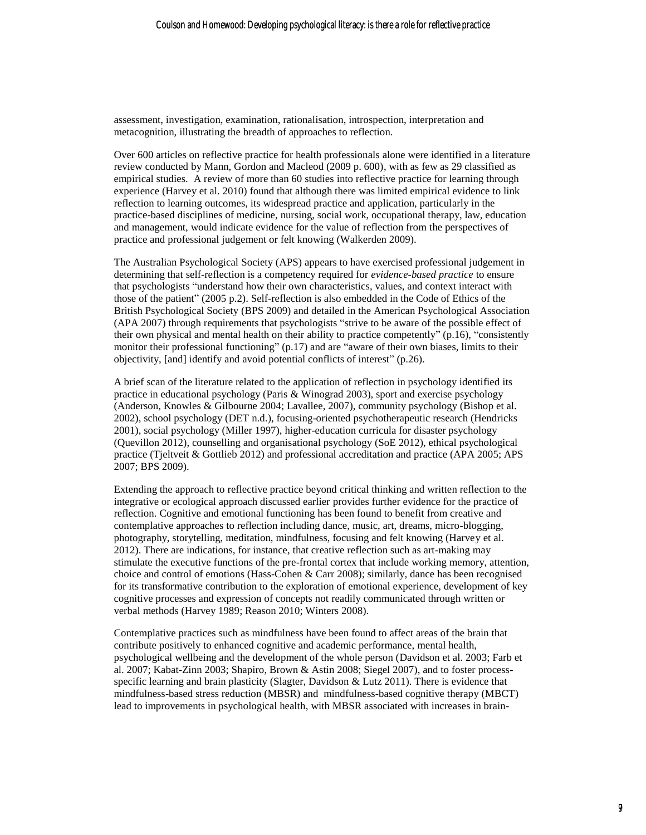assessment, investigation, examination, rationalisation, introspection, interpretation and metacognition, illustrating the breadth of approaches to reflection.

Over 600 articles on reflective practice for health professionals alone were identified in a literature review conducted by Mann, Gordon and Macleod (2009 p. 600), with as few as 29 classified as empirical studies. A review of more than 60 studies into reflective practice for learning through experience (Harvey et al. 2010) found that although there was limited empirical evidence to link reflection to learning outcomes, its widespread practice and application, particularly in the practice-based disciplines of medicine, nursing, social work, occupational therapy, law, education and management, would indicate evidence for the value of reflection from the perspectives of practice and professional judgement or felt knowing (Walkerden 2009).

The Australian Psychological Society (APS) appears to have exercised professional judgement in determining that self-reflection is a competency required for *evidence-based practice* to ensure that psychologists "understand how their own characteristics, values, and context interact with those of the patient" (2005 p.2). Self-reflection is also embedded in the Code of Ethics of the British Psychological Society (BPS 2009) and detailed in the American Psychological Association (APA 2007) through requirements that psychologists "strive to be aware of the possible effect of their own physical and mental health on their ability to practice competently" (p.16), "consistently monitor their professional functioning" (p.17) and are "aware of their own biases, limits to their objectivity, [and] identify and avoid potential conflicts of interest" (p.26).

A brief scan of the literature related to the application of reflection in psychology identified its practice in educational psychology (Paris & Winograd 2003), sport and exercise psychology (Anderson, Knowles & Gilbourne 2004; Lavallee, 2007), community psychology (Bishop et al. 2002), school psychology (DET n.d.), focusing-oriented psychotherapeutic research (Hendricks 2001), social psychology (Miller 1997), higher-education curricula for disaster psychology (Quevillon 2012), counselling and organisational psychology (SoE 2012), ethical psychological practice (Tjeltveit & Gottlieb 2012) and professional accreditation and practice (APA 2005; APS 2007; BPS 2009).

Extending the approach to reflective practice beyond critical thinking and written reflection to the integrative or ecological approach discussed earlier provides further evidence for the practice of reflection. Cognitive and emotional functioning has been found to benefit from creative and contemplative approaches to reflection including dance, music, art, dreams, micro-blogging, photography, storytelling, meditation, mindfulness, focusing and felt knowing (Harvey et al. 2012). There are indications, for instance, that creative reflection such as art-making may stimulate the executive functions of the pre-frontal cortex that include working memory, attention, choice and control of emotions (Hass-Cohen & Carr 2008); similarly, dance has been recognised for its transformative contribution to the exploration of emotional experience, development of key cognitive processes and expression of concepts not readily communicated through written or verbal methods (Harvey 1989; Reason 2010; Winters 2008).

Contemplative practices such as mindfulness have been found to affect areas of the brain that contribute positively to enhanced cognitive and academic performance, mental health, psychological wellbeing and the development of the whole person (Davidson et al. 2003; Farb et al. 2007; Kabat-Zinn 2003; Shapiro, Brown & Astin 2008; Siegel 2007), and to foster processspecific learning and brain plasticity (Slagter, Davidson & Lutz 2011). There is evidence that mindfulness-based stress reduction (MBSR) and mindfulness-based cognitive therapy (MBCT) lead to improvements in psychological health, with MBSR associated with increases in brain-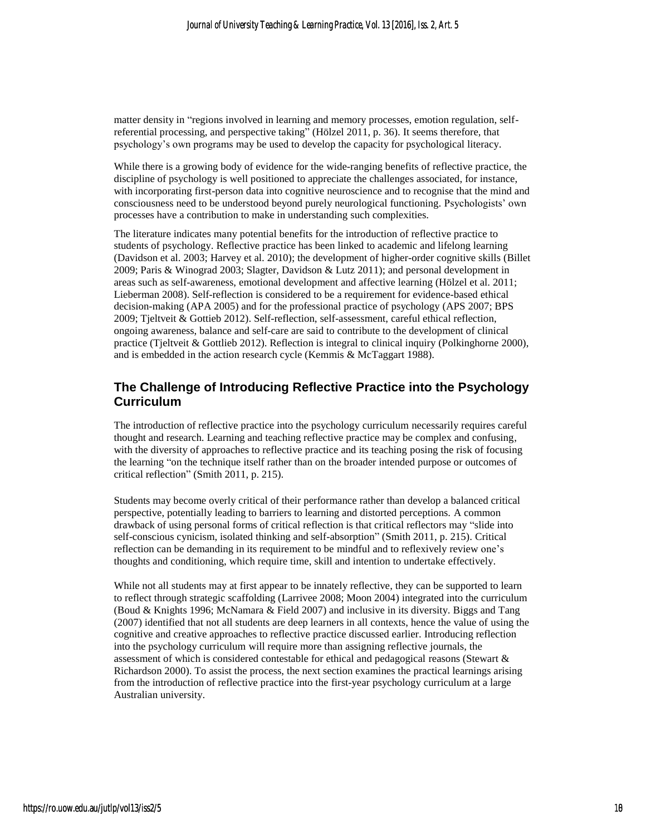matter density in "regions involved in learning and memory processes, emotion regulation, selfreferential processing, and perspective taking" (Hölzel 2011, p. 36). It seems therefore, that psychology's own programs may be used to develop the capacity for psychological literacy.

While there is a growing body of evidence for the wide-ranging benefits of reflective practice, the discipline of psychology is well positioned to appreciate the challenges associated, for instance, with incorporating first-person data into cognitive neuroscience and to recognise that the mind and consciousness need to be understood beyond purely neurological functioning. Psychologists' own processes have a contribution to make in understanding such complexities.

The literature indicates many potential benefits for the introduction of reflective practice to students of psychology. Reflective practice has been linked to academic and lifelong learning (Davidson et al. 2003; Harvey et al. 2010); the development of higher-order cognitive skills (Billet 2009; Paris & Winograd 2003; Slagter, Davidson & Lutz 2011); and personal development in areas such as self-awareness, emotional development and affective learning (Hölzel et al. 2011; Lieberman 2008). Self-reflection is considered to be a requirement for evidence-based ethical decision-making (APA 2005) and for the professional practice of psychology (APS 2007; BPS 2009; Tjeltveit & Gottieb 2012). Self-reflection, self-assessment, careful ethical reflection, ongoing awareness, balance and self-care are said to contribute to the development of clinical practice (Tjeltveit & Gottlieb 2012). Reflection is integral to clinical inquiry (Polkinghorne 2000), and is embedded in the action research cycle (Kemmis & McTaggart 1988).

#### **The Challenge of Introducing Reflective Practice into the Psychology Curriculum**

The introduction of reflective practice into the psychology curriculum necessarily requires careful thought and research. Learning and teaching reflective practice may be complex and confusing, with the diversity of approaches to reflective practice and its teaching posing the risk of focusing the learning "on the technique itself rather than on the broader intended purpose or outcomes of critical reflection" (Smith 2011, p. 215).

Students may become overly critical of their performance rather than develop a balanced critical perspective, potentially leading to barriers to learning and distorted perceptions. A common drawback of using personal forms of critical reflection is that critical reflectors may "slide into self-conscious cynicism, isolated thinking and self-absorption" (Smith 2011, p. 215). Critical reflection can be demanding in its requirement to be mindful and to reflexively review one's thoughts and conditioning, which require time, skill and intention to undertake effectively.

While not all students may at first appear to be innately reflective, they can be supported to learn to reflect through strategic scaffolding (Larrivee 2008; Moon 2004) integrated into the curriculum (Boud & Knights 1996; McNamara & Field 2007) and inclusive in its diversity. Biggs and Tang (2007) identified that not all students are deep learners in all contexts, hence the value of using the cognitive and creative approaches to reflective practice discussed earlier. Introducing reflection into the psychology curriculum will require more than assigning reflective journals, the assessment of which is considered contestable for ethical and pedagogical reasons (Stewart & Richardson 2000). To assist the process, the next section examines the practical learnings arising from the introduction of reflective practice into the first-year psychology curriculum at a large Australian university.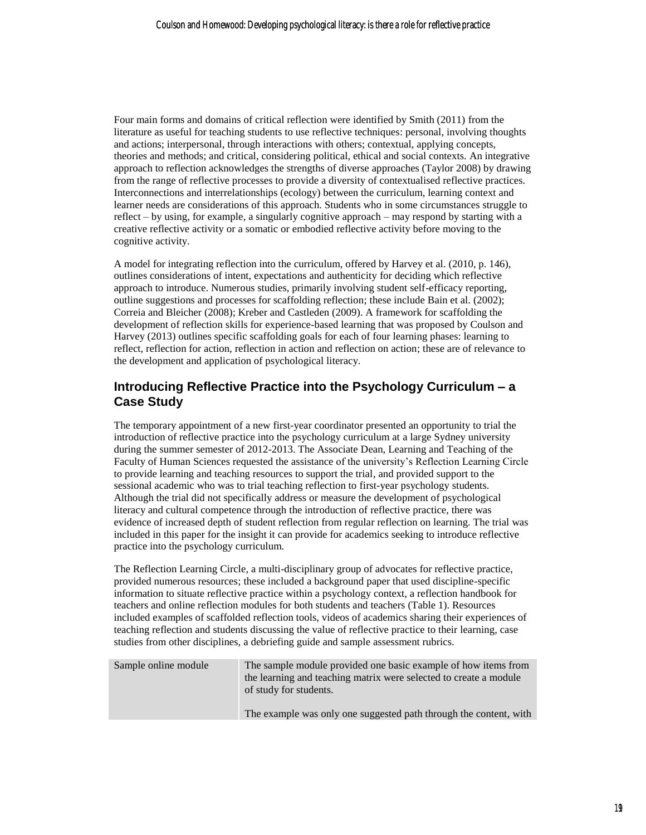Four main forms and domains of critical reflection were identified by Smith (2011) from the literature as useful for teaching students to use reflective techniques: personal, involving thoughts and actions; interpersonal, through interactions with others; contextual, applying concepts, theories and methods; and critical, considering political, ethical and social contexts. An integrative approach to reflection acknowledges the strengths of diverse approaches (Taylor 2008) by drawing from the range of reflective processes to provide a diversity of contextualised reflective practices. Interconnections and interrelationships (ecology) between the curriculum, learning context and learner needs are considerations of this approach. Students who in some circumstances struggle to reflect – by using, for example, a singularly cognitive approach – may respond by starting with a creative reflective activity or a somatic or embodied reflective activity before moving to the cognitive activity.

A model for integrating reflection into the curriculum, offered by Harvey et al. (2010, p. 146), outlines considerations of intent, expectations and authenticity for deciding which reflective approach to introduce. Numerous studies, primarily involving student self-efficacy reporting, outline suggestions and processes for scaffolding reflection; these include Bain et al. (2002); Correia and Bleicher (2008); Kreber and Castleden (2009). A framework for scaffolding the development of reflection skills for experience-based learning that was proposed by Coulson and Harvey (2013) outlines specific scaffolding goals for each of four learning phases: learning to reflect, reflection for action, reflection in action and reflection on action; these are of relevance to the development and application of psychological literacy.

## **Introducing Reflective Practice into the Psychology Curriculum – a Case Study**

The temporary appointment of a new first-year coordinator presented an opportunity to trial the introduction of reflective practice into the psychology curriculum at a large Sydney university during the summer semester of 2012-2013. The Associate Dean, Learning and Teaching of the Faculty of Human Sciences requested the assistance of the university's Reflection Learning Circle to provide learning and teaching resources to support the trial, and provided support to the sessional academic who was to trial teaching reflection to first-year psychology students. Although the trial did not specifically address or measure the development of psychological literacy and cultural competence through the introduction of reflective practice, there was evidence of increased depth of student reflection from regular reflection on learning. The trial was included in this paper for the insight it can provide for academics seeking to introduce reflective practice into the psychology curriculum.

The Reflection Learning Circle, a multi-disciplinary group of advocates for reflective practice, provided numerous resources; these included a background paper that used discipline-specific information to situate reflective practice within a psychology context, a reflection handbook for teachers and online reflection modules for both students and teachers (Table 1). Resources included examples of scaffolded reflection tools, videos of academics sharing their experiences of teaching reflection and students discussing the value of reflective practice to their learning, case studies from other disciplines, a debriefing guide and sample assessment rubrics.

| Sample online module | The sample module provided one basic example of how items from<br>the learning and teaching matrix were selected to create a module<br>of study for students. |
|----------------------|---------------------------------------------------------------------------------------------------------------------------------------------------------------|
|                      | The example was only one suggested path through the content, with                                                                                             |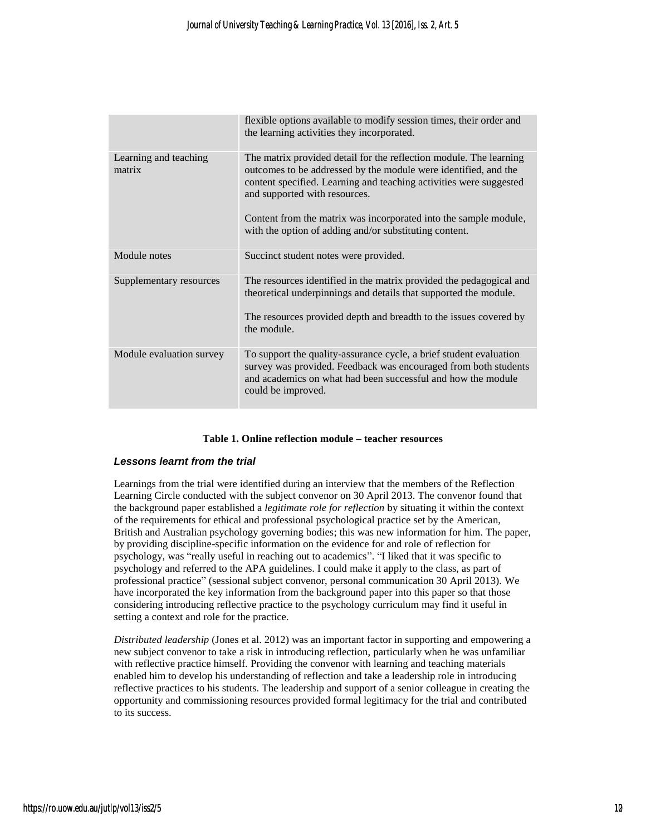|                                 | flexible options available to modify session times, their order and<br>the learning activities they incorporated.                                                                                                                            |
|---------------------------------|----------------------------------------------------------------------------------------------------------------------------------------------------------------------------------------------------------------------------------------------|
| Learning and teaching<br>matrix | The matrix provided detail for the reflection module. The learning<br>outcomes to be addressed by the module were identified, and the<br>content specified. Learning and teaching activities were suggested<br>and supported with resources. |
|                                 | Content from the matrix was incorporated into the sample module,<br>with the option of adding and/or substituting content.                                                                                                                   |
| Module notes                    | Succinct student notes were provided.                                                                                                                                                                                                        |
| Supplementary resources         | The resources identified in the matrix provided the pedagogical and<br>theoretical underpinnings and details that supported the module.                                                                                                      |
|                                 | The resources provided depth and breadth to the issues covered by<br>the module.                                                                                                                                                             |
| Module evaluation survey        | To support the quality-assurance cycle, a brief student evaluation<br>survey was provided. Feedback was encouraged from both students<br>and academics on what had been successful and how the module<br>could be improved.                  |

#### **Table 1. Online reflection module – teacher resources**

#### *Lessons learnt from the trial*

Learnings from the trial were identified during an interview that the members of the Reflection Learning Circle conducted with the subject convenor on 30 April 2013. The convenor found that the background paper established a *legitimate role for reflection* by situating it within the context of the requirements for ethical and professional psychological practice set by the American, British and Australian psychology governing bodies; this was new information for him. The paper, by providing discipline-specific information on the evidence for and role of reflection for psychology, was "really useful in reaching out to academics". "I liked that it was specific to psychology and referred to the APA guidelines. I could make it apply to the class, as part of professional practice" (sessional subject convenor, personal communication 30 April 2013). We have incorporated the key information from the background paper into this paper so that those considering introducing reflective practice to the psychology curriculum may find it useful in setting a context and role for the practice.

*Distributed leadership* (Jones et al. 2012) was an important factor in supporting and empowering a new subject convenor to take a risk in introducing reflection, particularly when he was unfamiliar with reflective practice himself. Providing the convenor with learning and teaching materials enabled him to develop his understanding of reflection and take a leadership role in introducing reflective practices to his students. The leadership and support of a senior colleague in creating the opportunity and commissioning resources provided formal legitimacy for the trial and contributed to its success.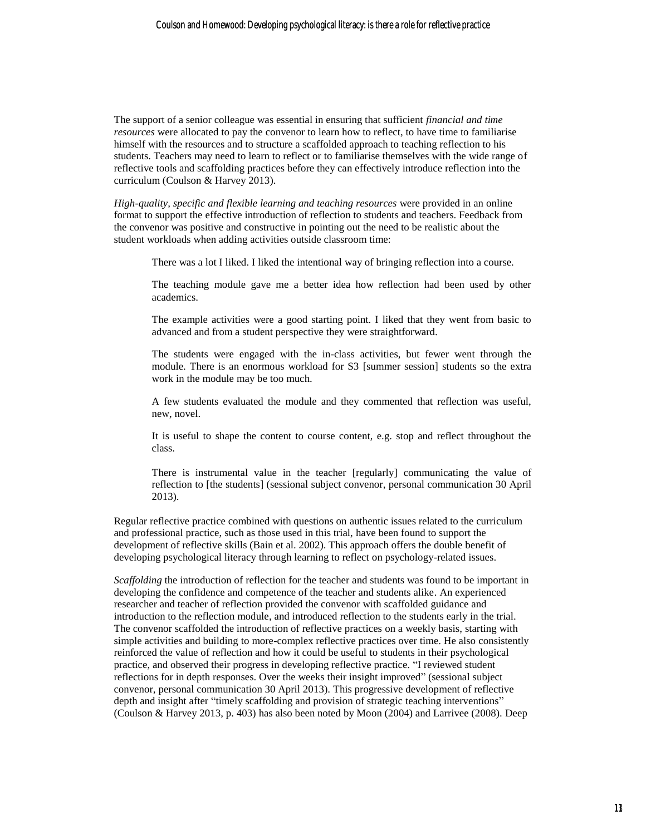The support of a senior colleague was essential in ensuring that sufficient *financial and time resources* were allocated to pay the convenor to learn how to reflect, to have time to familiarise himself with the resources and to structure a scaffolded approach to teaching reflection to his students. Teachers may need to learn to reflect or to familiarise themselves with the wide range of reflective tools and scaffolding practices before they can effectively introduce reflection into the curriculum (Coulson & Harvey 2013).

*High-quality, specific and flexible learning and teaching resources* were provided in an online format to support the effective introduction of reflection to students and teachers. Feedback from the convenor was positive and constructive in pointing out the need to be realistic about the student workloads when adding activities outside classroom time:

There was a lot I liked. I liked the intentional way of bringing reflection into a course.

The teaching module gave me a better idea how reflection had been used by other academics.

The example activities were a good starting point. I liked that they went from basic to advanced and from a student perspective they were straightforward.

The students were engaged with the in-class activities, but fewer went through the module. There is an enormous workload for S3 [summer session] students so the extra work in the module may be too much.

A few students evaluated the module and they commented that reflection was useful, new, novel.

It is useful to shape the content to course content, e.g. stop and reflect throughout the class.

There is instrumental value in the teacher [regularly] communicating the value of reflection to [the students] (sessional subject convenor, personal communication 30 April 2013).

Regular reflective practice combined with questions on authentic issues related to the curriculum and professional practice, such as those used in this trial, have been found to support the development of reflective skills (Bain et al. 2002). This approach offers the double benefit of developing psychological literacy through learning to reflect on psychology-related issues.

*Scaffolding* the introduction of reflection for the teacher and students was found to be important in developing the confidence and competence of the teacher and students alike. An experienced researcher and teacher of reflection provided the convenor with scaffolded guidance and introduction to the reflection module, and introduced reflection to the students early in the trial. The convenor scaffolded the introduction of reflective practices on a weekly basis, starting with simple activities and building to more-complex reflective practices over time. He also consistently reinforced the value of reflection and how it could be useful to students in their psychological practice, and observed their progress in developing reflective practice. "I reviewed student reflections for in depth responses. Over the weeks their insight improved" (sessional subject convenor, personal communication 30 April 2013). This progressive development of reflective depth and insight after "timely scaffolding and provision of strategic teaching interventions" (Coulson & Harvey 2013, p. 403) has also been noted by Moon (2004) and Larrivee (2008). Deep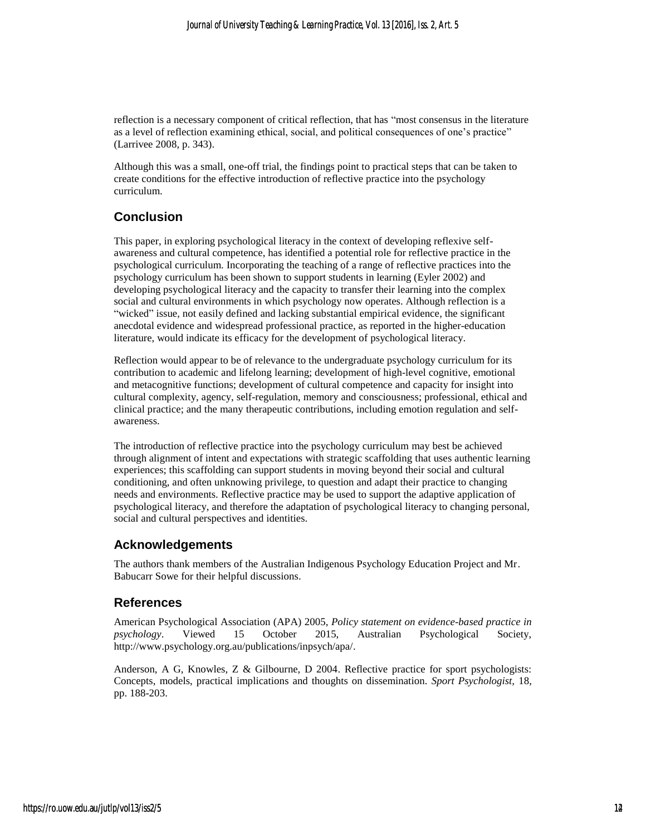reflection is a necessary component of critical reflection, that has "most consensus in the literature as a level of reflection examining ethical, social, and political consequences of one's practice" (Larrivee 2008, p. 343).

Although this was a small, one-off trial, the findings point to practical steps that can be taken to create conditions for the effective introduction of reflective practice into the psychology curriculum.

## **Conclusion**

This paper, in exploring psychological literacy in the context of developing reflexive selfawareness and cultural competence, has identified a potential role for reflective practice in the psychological curriculum. Incorporating the teaching of a range of reflective practices into the psychology curriculum has been shown to support students in learning (Eyler 2002) and developing psychological literacy and the capacity to transfer their learning into the complex social and cultural environments in which psychology now operates. Although reflection is a "wicked" issue, not easily defined and lacking substantial empirical evidence, the significant anecdotal evidence and widespread professional practice, as reported in the higher-education literature, would indicate its efficacy for the development of psychological literacy.

Reflection would appear to be of relevance to the undergraduate psychology curriculum for its contribution to academic and lifelong learning; development of high-level cognitive, emotional and metacognitive functions; development of cultural competence and capacity for insight into cultural complexity, agency, self-regulation, memory and consciousness; professional, ethical and clinical practice; and the many therapeutic contributions, including emotion regulation and selfawareness.

The introduction of reflective practice into the psychology curriculum may best be achieved through alignment of intent and expectations with strategic scaffolding that uses authentic learning experiences; this scaffolding can support students in moving beyond their social and cultural conditioning, and often unknowing privilege, to question and adapt their practice to changing needs and environments. Reflective practice may be used to support the adaptive application of psychological literacy, and therefore the adaptation of psychological literacy to changing personal, social and cultural perspectives and identities.

#### **Acknowledgements**

The authors thank members of the Australian Indigenous Psychology Education Project and Mr. Babucarr Sowe for their helpful discussions.

#### **References**

American Psychological Association (APA) 2005, *Policy statement on evidence-based practice in psychology*. Viewed 15 October 2015, Australian Psychological Society, http://www.psychology.org.au/publications/inpsych/apa/.

Anderson, A G, Knowles, Z & Gilbourne, D 2004. Reflective practice for sport psychologists: Concepts, models, practical implications and thoughts on dissemination. *Sport Psychologist,* 18, pp. 188-203.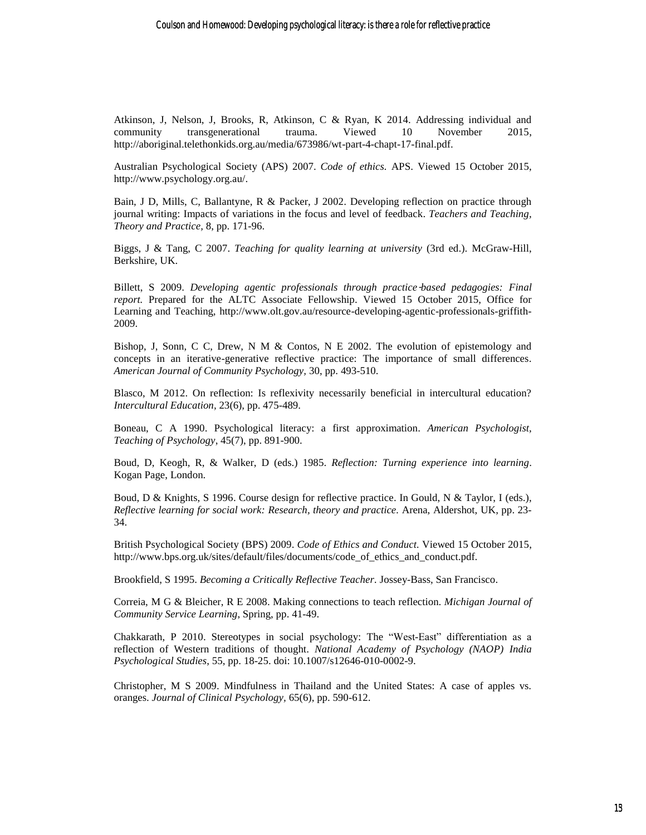Atkinson, J, Nelson, J, Brooks, R, Atkinson, C & Ryan, K 2014. Addressing individual and community transgenerational trauma. Viewed 10 November 2015. community transgenerational trauma. Viewed 10 November 2015, http://aboriginal.telethonkids.org.au/media/673986/wt-part-4-chapt-17-final.pdf.

Australian Psychological Society (APS) 2007. *Code of ethics.* APS. Viewed 15 October 2015, http://www.psychology.org.au/.

Bain, J D, Mills, C, Ballantyne, R & Packer, J 2002. Developing reflection on practice through journal writing: Impacts of variations in the focus and level of feedback. *Teachers and Teaching, Theory and Practice,* 8, pp. 171-96.

Biggs, J & Tang, C 2007. *Teaching for quality learning at university* (3rd ed.). McGraw-Hill, Berkshire, UK.

Billett, S 2009. *Developing agentic professionals through practice-based pedagogies: Final report.* Prepared for the ALTC Associate Fellowship. Viewed 15 October 2015, Office for Learning and Teaching, http://www.olt.gov.au/resource-developing-agentic-professionals-griffith-2009.

Bishop, J, Sonn, C C, Drew, N M & Contos, N E 2002. The evolution of epistemology and concepts in an iterative-generative reflective practice: The importance of small differences. *American Journal of Community Psychology,* 30, pp. 493-510.

Blasco, M 2012. On reflection: Is reflexivity necessarily beneficial in intercultural education? *Intercultural Education,* 23(6), pp. 475-489.

Boneau, C A 1990. Psychological literacy: a first approximation. *American Psychologist, Teaching of Psychology*, 45(7), pp. 891-900.

Boud, D, Keogh, R, & Walker, D (eds.) 1985. *Reflection: Turning experience into learning*. Kogan Page, London.

Boud, D & Knights, S 1996. Course design for reflective practice. In Gould, N & Taylor, I (eds.), *Reflective learning for social work: Research, theory and practice.* Arena, Aldershot, UK, pp. 23- 34.

British Psychological Society (BPS) 2009. *Code of Ethics and Conduct.* Viewed 15 October 2015, http://www.bps.org.uk/sites/default/files/documents/code\_of\_ethics\_and\_conduct.pdf.

Brookfield, S 1995. *Becoming a Critically Reflective Teacher.* Jossey-Bass, San Francisco.

Correia, M G & Bleicher, R E 2008. Making connections to teach reflection. *Michigan Journal of Community Service Learning*, Spring, pp. 41-49.

Chakkarath, P 2010. Stereotypes in social psychology: The "West-East" differentiation as a reflection of Western traditions of thought. *National Academy of Psychology (NAOP) India Psychological Studies*, 55, pp. 18-25. doi: 10.1007/s12646-010-0002-9.

Christopher, M S 2009. Mindfulness in Thailand and the United States: A case of apples vs. oranges. *Journal of Clinical Psychology,* 65(6), pp. 590-612.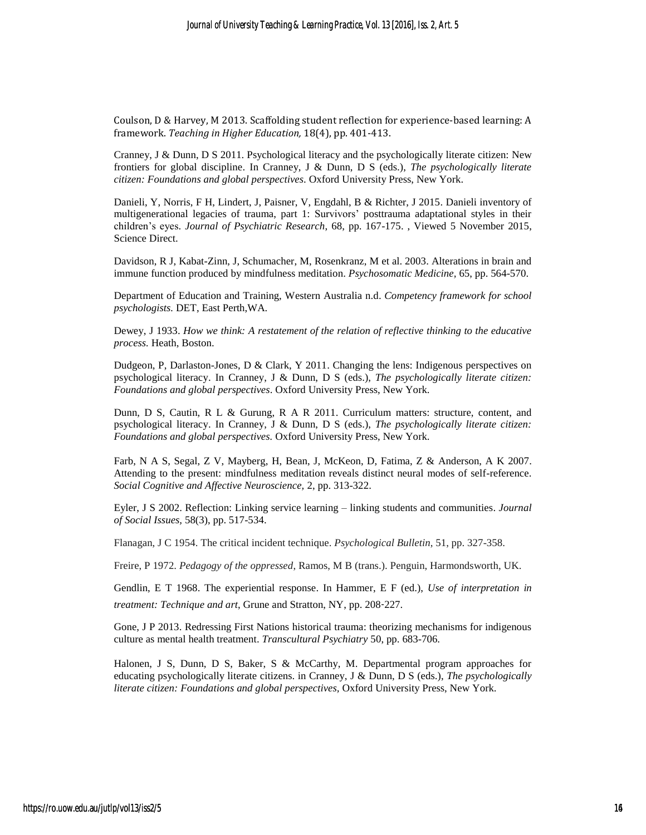Coulson, D & Harvey, M 2013. Scaffolding student reflection for experience-based learning: A framework. *Teaching in Higher Education,* 18(4), pp. 401-413.

Cranney, J & Dunn, D S 2011. Psychological literacy and the psychologically literate citizen: New frontiers for global discipline. In Cranney, J & Dunn, D S (eds.), *The psychologically literate citizen: Foundations and global perspectives*. Oxford University Press, New York.

Danieli, Y, Norris, F H, Lindert, J, Paisner, V, Engdahl, B & Richter, J 2015. Danieli inventory of multigenerational legacies of trauma, part 1: Survivors' posttrauma adaptational styles in their children's eyes. *Journal of Psychiatric Research*, 68, pp. 167-175. , Viewed 5 November 2015, Science Direct.

Davidson, R J, Kabat-Zinn, J, Schumacher, M, Rosenkranz, M et al. 2003. Alterations in brain and immune function produced by mindfulness meditation. *Psychosomatic Medicine,* 65, pp. 564-570.

Department of Education and Training, Western Australia n.d. *Competency framework for school psychologists.* DET, East Perth,WA.

Dewey, J 1933. *How we think: A restatement of the relation of reflective thinking to the educative process.* Heath, Boston.

Dudgeon, P, Darlaston-Jones, D & Clark, Y 2011. Changing the lens: Indigenous perspectives on psychological literacy. In Cranney, J & Dunn, D S (eds.), *The psychologically literate citizen: Foundations and global perspectives*. Oxford University Press, New York.

Dunn, D S, Cautin, R L & Gurung, R A R 2011. Curriculum matters: structure, content, and psychological literacy. In Cranney, J & Dunn, D S (eds.), *The psychologically literate citizen: Foundations and global perspectives.* Oxford University Press, New York.

Farb, N A S, Segal, Z V, Mayberg, H, Bean, J, McKeon, D, Fatima, Z & Anderson, A K 2007. Attending to the present: mindfulness meditation reveals distinct neural modes of self-reference. *Social Cognitive and Affective Neuroscience,* 2, pp. 313-322.

Eyler, J S 2002. Reflection: Linking service learning – linking students and communities. *Journal of Social Issues,* 58(3), pp. 517-534.

Flanagan, J C 1954. The critical incident technique. *Psychological Bulletin*, 51, pp. 327-358.

Freire, P 1972. *Pedagogy of the oppressed*, Ramos, M B (trans.). Penguin, Harmondsworth, UK.

Gendlin, E T 1968. The experiential response. In Hammer, E F (ed.), *Use of interpretation in treatment: Technique and art*, Grune and Stratton, NY, pp. 208‑227.

Gone, J P 2013. Redressing First Nations historical trauma: theorizing mechanisms for indigenous culture as mental health treatment. *Transcultural Psychiatry* 50, pp. 683-706.

Halonen, J S, Dunn, D S, Baker, S & McCarthy, M. Departmental program approaches for educating psychologically literate citizens. in Cranney, J & Dunn, D S (eds.), *The psychologically literate citizen: Foundations and global perspectives,* Oxford University Press, New York.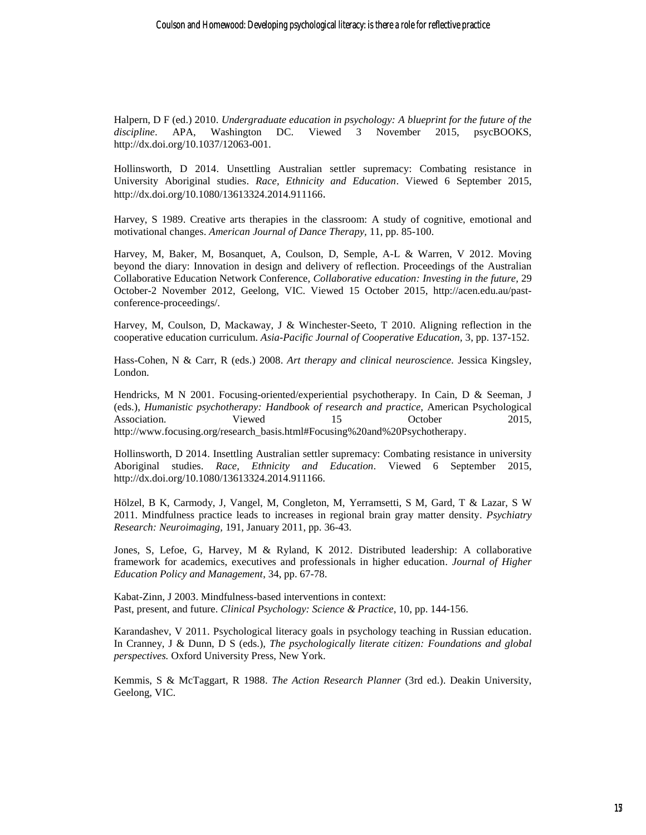Halpern, D F (ed.) 2010. *Undergraduate education in psychology: A blueprint for the future of the discipline*. APA, Washington DC. Viewed 3 November 2015, psycBOOKS, http://dx.doi.org/10.1037/12063-001.

Hollinsworth, D 2014. Unsettling Australian settler supremacy: Combating resistance in University Aboriginal studies. *Race, Ethnicity and Education*. Viewed 6 September 2015, http://dx.doi.org/10.1080/13613324.2014.911166.

Harvey, S 1989. Creative arts therapies in the classroom: A study of cognitive, emotional and motivational changes. *American Journal of Dance Therapy,* 11, pp. 85-100.

Harvey, M, Baker, M, Bosanquet, A, Coulson, D, Semple, A-L & Warren, V 2012. Moving beyond the diary: Innovation in design and delivery of reflection. Proceedings of the Australian Collaborative Education Network Conference, *Collaborative education: Investing in the future,* 29 October-2 November 2012, Geelong, VIC. Viewed 15 October 2015, http://acen.edu.au/pastconference-proceedings/.

Harvey, M, Coulson, D, Mackaway, J & Winchester-Seeto, T 2010. Aligning reflection in the cooperative education curriculum. *Asia-Pacific Journal of Cooperative Education,* 3, pp. 137-152.

Hass-Cohen, N & Carr, R (eds.) 2008. *Art therapy and clinical neuroscience.* Jessica Kingsley, London.

Hendricks, M N 2001. Focusing-oriented/experiential psychotherapy. In Cain, D & Seeman, J (eds.), *Humanistic psychotherapy: Handbook of research and practice,* American Psychological Association. Viewed 15 October 2015, http://www.focusing.org/research\_basis.html#Focusing%20and%20Psychotherapy.

Hollinsworth, D 2014. Insettling Australian settler supremacy: Combating resistance in university Aboriginal studies. *Race, Ethnicity and Education*. Viewed 6 September 2015, http://dx.doi.org/10.1080/13613324.2014.911166.

Hölzel, B K, Carmody, J, Vangel, M, Congleton, M, Yerramsetti, S M, Gard, T & Lazar, S W 2011. Mindfulness practice leads to increases in regional brain gray matter density. *Psychiatry Research: Neuroimaging,* 191, January 2011, pp. 36-43.

Jones, S, Lefoe, G, Harvey, M & Ryland, K 2012. Distributed leadership: A collaborative framework for academics, executives and professionals in higher education. *Journal of Higher Education Policy and Management*, 34, pp. 67-78.

Kabat-Zinn, J 2003. Mindfulness-based interventions in context: Past, present, and future. *Clinical Psychology: Science & Practice*, 10, pp. 144-156.

Karandashev, V 2011. Psychological literacy goals in psychology teaching in Russian education. In Cranney, J & Dunn, D S (eds.), *The psychologically literate citizen: Foundations and global perspectives.* Oxford University Press, New York.

Kemmis, S & McTaggart, R 1988. *The Action Research Planner* (3rd ed.). Deakin University, Geelong, VIC.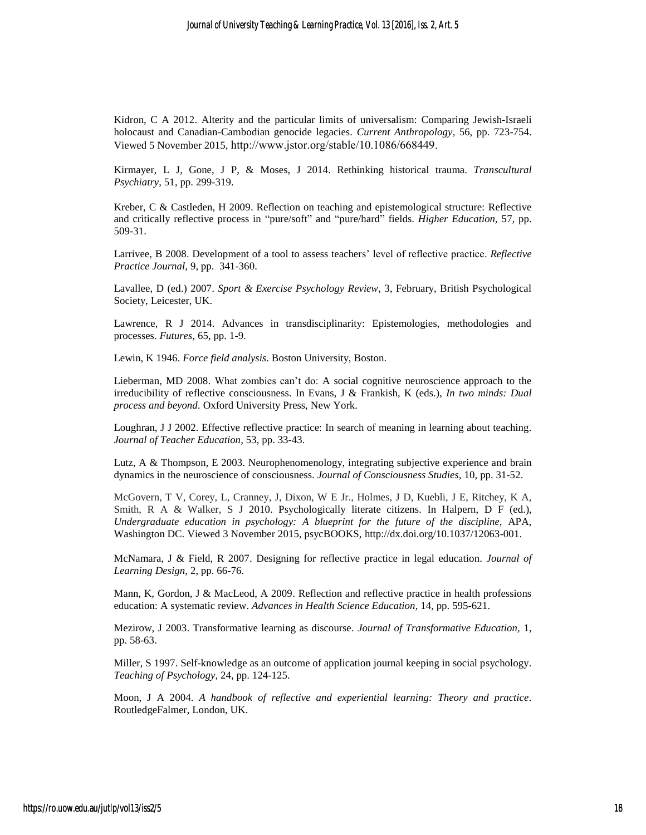Kidron, C A 2012. Alterity and the particular limits of universalism: Comparing Jewish-Israeli holocaust and Canadian-Cambodian genocide legacies. *Current Anthropology*, 56, pp. 723-754. Viewed 5 November 2015, http://www.jstor.org/stable/10.1086/668449.

Kirmayer, L J, Gone, J P, & Moses, J 2014. Rethinking historical trauma. *Transcultural Psychiatry*, 51, pp. 299-319.

Kreber, C & Castleden, H 2009. Reflection on teaching and epistemological structure: Reflective and critically reflective process in "pure/soft" and "pure/hard" fields. *Higher Education*, 57, pp. 509-31.

Larrivee, B 2008. Development of a tool to assess teachers' level of reflective practice. *Reflective Practice Journal*, 9, pp. 341-360.

Lavallee, D (ed.) 2007. *Sport & Exercise Psychology Review,* 3, February, British Psychological Society, Leicester, UK.

Lawrence, R J 2014. Advances in transdisciplinarity: Epistemologies, methodologies and processes. *Futures,* 65, pp. 1-9.

Lewin, K 1946. *Force field analysis*. Boston University, Boston.

Lieberman, MD 2008. What zombies can't do: A social cognitive neuroscience approach to the irreducibility of reflective consciousness. In Evans, J & Frankish, K (eds.), *In two minds: Dual process and beyond.* Oxford University Press, New York.

Loughran, J J 2002. Effective reflective practice: In search of meaning in learning about teaching. *Journal of Teacher Education,* 53, pp. 33-43.

Lutz, A & Thompson, E 2003. Neurophenomenology, integrating subjective experience and brain dynamics in the neuroscience of consciousness. *Journal of Consciousness Studies,* 10, pp. 31-52.

McGovern, T V, Corey, L, Cranney, J, Dixon, W E Jr., Holmes, J D, Kuebli, J E, Ritchey, K A, Smith, R A & Walker, S J 2010. Psychologically literate citizens. In Halpern, D F (ed.), *Undergraduate education in psychology: A blueprint for the future of the discipline,* APA, Washington DC. Viewed 3 November 2015, psycBOOKS, http://dx.doi.org/10.1037/12063-001.

McNamara, J & Field, R 2007. Designing for reflective practice in legal education. *Journal of Learning Design*, 2, pp. 66-76.

Mann, K, Gordon, J & MacLeod, A 2009. Reflection and reflective practice in health professions education: A systematic review. *Advances in Health Science Education,* 14, pp. 595-621.

Mezirow, J 2003. Transformative learning as discourse. *Journal of Transformative Education,* 1, pp. 58-63.

Miller, S 1997. Self-knowledge as an outcome of application journal keeping in social psychology. *Teaching of Psychology,* 24, pp. 124-125.

Moon, J A 2004. *A handbook of reflective and experiential learning: Theory and practice.* RoutledgeFalmer, London, UK.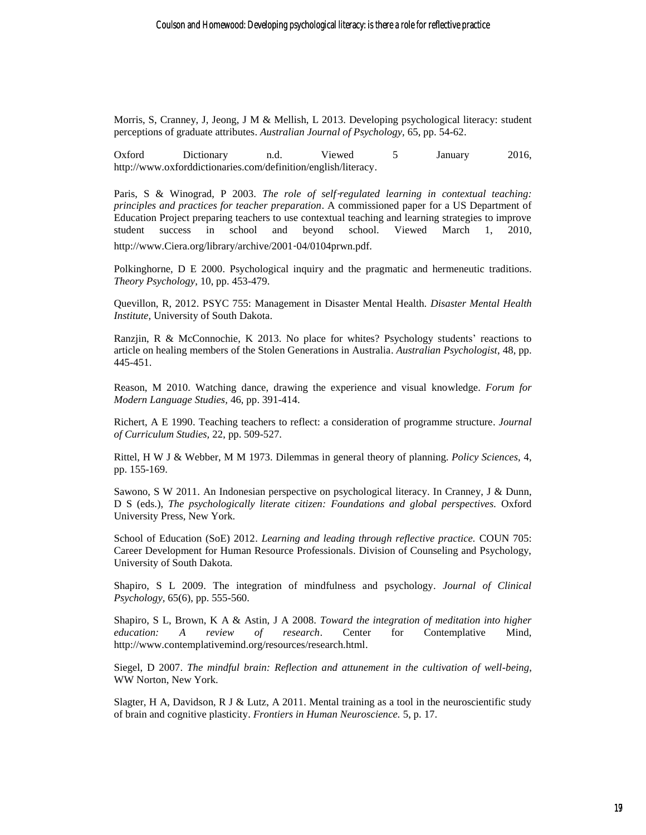Morris, S, Cranney, J, Jeong, J M & Mellish, L 2013. Developing psychological literacy: student perceptions of graduate attributes. *Australian Journal of Psychology,* 65, pp. 54-62.

Oxford Dictionary n.d. Viewed 5 January 2016, http://www.oxforddictionaries.com/definition/english/literacy.

Paris, S & Winograd, P 2003. *The role of self-regulated learning in contextual teaching: principles and practices for teacher preparation*. A commissioned paper for a US Department of Education Project preparing teachers to use contextual teaching and learning strategies to improve student success in school and beyond school. Viewed March 1, 2010,

http://www.Ciera.org/library/archive/2001‑04/0104prwn.pdf.

Polkinghorne, D E 2000. Psychological inquiry and the pragmatic and hermeneutic traditions. *Theory Psychology*, 10, pp. 453-479.

Quevillon, R, 2012. PSYC 755: Management in Disaster Mental Health*. Disaster Mental Health Institute*, University of South Dakota.

Ranzjin, R & McConnochie, K 2013. No place for whites? Psychology students' reactions to article on healing members of the Stolen Generations in Australia. *Australian Psychologist*, 48, pp. 445-451.

Reason, M 2010. Watching dance, drawing the experience and visual knowledge. *Forum for Modern Language Studies,* 46, pp. 391-414.

Richert, A E 1990. Teaching teachers to reflect: a consideration of programme structure. *Journal of Curriculum Studies,* 22, pp. 509-527.

Rittel, H W J & Webber, M M 1973. Dilemmas in general theory of planning. *Policy Sciences,* 4, pp. 155-169.

Sawono, S W 2011. An Indonesian perspective on psychological literacy. In Cranney, J & Dunn, D S (eds.), *The psychologically literate citizen: Foundations and global perspectives.* Oxford University Press, New York.

School of Education (SoE) 2012. *Learning and leading through reflective practice.* COUN 705: Career Development for Human Resource Professionals. Division of Counseling and Psychology, University of South Dakota.

Shapiro, S L 2009. The integration of mindfulness and psychology. *Journal of Clinical Psychology,* 65(6), pp. 555-560.

Shapiro, S L, Brown, K A & Astin, J A 2008. *Toward the integration of meditation into higher education: A review of research*. Center for Contemplative Mind, http://www.contemplativemind.org/resources/research.html.

Siegel, D 2007. *The mindful brain: Reflection and attunement in the cultivation of well-being*, WW Norton, New York.

Slagter, H A, Davidson, R J & Lutz, A 2011. Mental training as a tool in the neuroscientific study of brain and cognitive plasticity. *Frontiers in Human Neuroscience.* 5, p. 17.